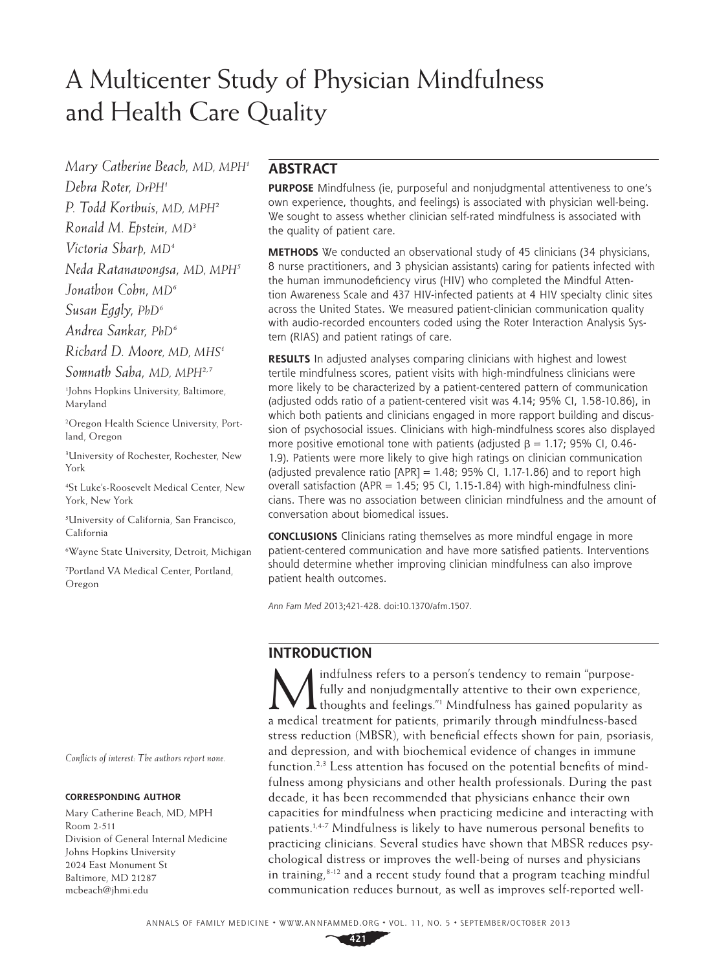# A Multicenter Study of Physician Mindfulness and Health Care Quality

*Mary Catherine Beach, MD, MPH1*

*Debra Roter, DrPH1*

*P. Todd Korthuis, MD, MPH2*

*Ronald M. Epstein, MD3*

*Victoria Sharp, MD4*

*Neda Ratanawongsa, MD, MPH5*

*Jonathon Cohn, MD6*

*Susan Eggly, PhD6*

*Andrea Sankar, PhD6*

*Richard D. Moore, MD, MHS1*

*Somnath Saha, MD, MPH2,7*

1 Johns Hopkins University, Baltimore, Maryland

2 Oregon Health Science University, Portland, Oregon

3 University of Rochester, Rochester, New York

4 St Luke's-Roosevelt Medical Center, New York, New York

5 University of California, San Francisco, California

6 Wayne State University, Detroit, Michigan

7 Portland VA Medical Center, Portland, Oregon

*Conflicts of interest: The authors report none.*

#### **CORRESPONDING AUTHOR**

Mary Catherine Beach, MD, MPH Room 2-511 Division of General Internal Medicine Johns Hopkins University 2024 East Monument St Baltimore, MD 21287 mcbeach@jhmi.edu

# **ABSTRACT**

**PURPOSE** Mindfulness (ie, purposeful and nonjudgmental attentiveness to one's own experience, thoughts, and feelings) is associated with physician well-being. We sought to assess whether clinician self-rated mindfulness is associated with the quality of patient care.

**METHODS** We conducted an observational study of 45 clinicians (34 physicians, 8 nurse practitioners, and 3 physician assistants) caring for patients infected with the human immunodeficiency virus (HIV) who completed the Mindful Attention Awareness Scale and 437 HIV-infected patients at 4 HIV specialty clinic sites across the United States. We measured patient-clinician communication quality with audio-recorded encounters coded using the Roter Interaction Analysis System (RIAS) and patient ratings of care.

**RESULTS** In adjusted analyses comparing clinicians with highest and lowest tertile mindfulness scores, patient visits with high-mindfulness clinicians were more likely to be characterized by a patient-centered pattern of communication (adjusted odds ratio of a patient-centered visit was 4.14; 95% CI, 1.58-10.86), in which both patients and clinicians engaged in more rapport building and discussion of psychosocial issues. Clinicians with high-mindfulness scores also displayed more positive emotional tone with patients (adjusted  $β = 1.17$ ; 95% CI, 0.46-1.9). Patients were more likely to give high ratings on clinician communication (adjusted prevalence ratio  $[APR] = 1.48$ ; 95% CI, 1.17-1.86) and to report high overall satisfaction (APR = 1.45; 95 CI, 1.15-1.84) with high-mindfulness clinicians. There was no association between clinician mindfulness and the amount of conversation about biomedical issues.

**CONCLUSIONS** Clinicians rating themselves as more mindful engage in more patient-centered communication and have more satisfied patients. Interventions should determine whether improving clinician mindfulness can also improve patient health outcomes.

*Ann Fam Med* 2013;421-428. doi:10.1370/afm.1507.

# **INTRODUCTION**

indfulness refers to a person's tendency to remain "purposefully and nonjudgmentally attentive to their own experience, thoughts and feelings."1 Mindfulness has gained popularity as a medical treatment for patients, primarily through mindfulness-based stress reduction (MBSR), with beneficial effects shown for pain, psoriasis, and depression, and with biochemical evidence of changes in immune function.<sup>2,3</sup> Less attention has focused on the potential benefits of mindfulness among physicians and other health professionals. During the past decade, it has been recommended that physicians enhance their own capacities for mindfulness when practicing medicine and interacting with patients.1,4-7 Mindfulness is likely to have numerous personal benefits to practicing clinicians. Several studies have shown that MBSR reduces psychological distress or improves the well-being of nurses and physicians in training, $8-12$  and a recent study found that a program teaching mindful communication reduces burnout, as well as improves self-reported well-

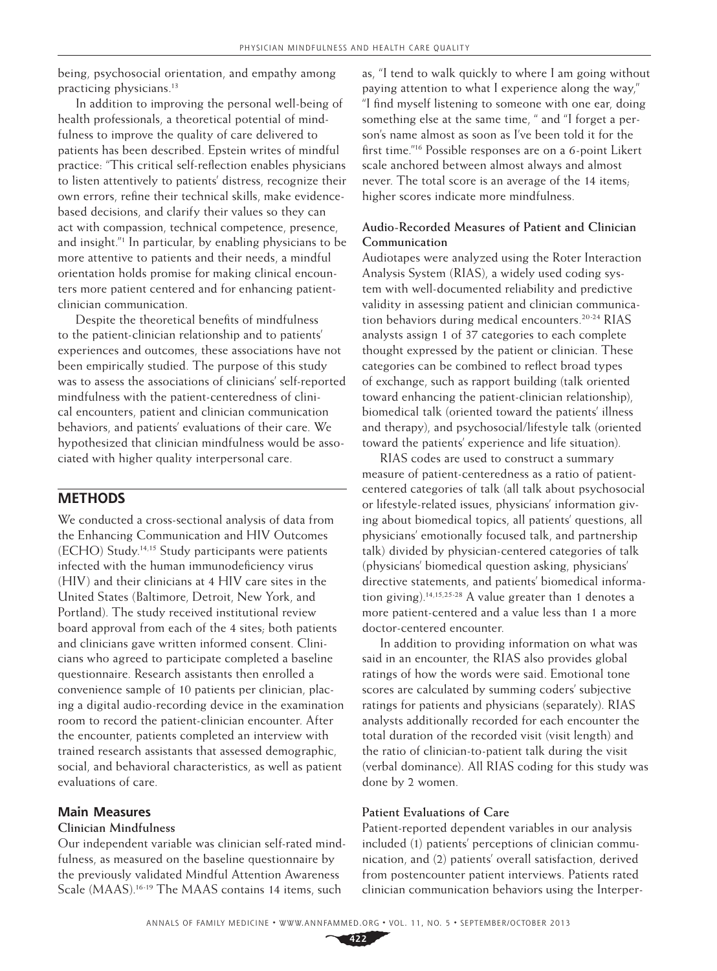being, psychosocial orientation, and empathy among practicing physicians.<sup>13</sup>

In addition to improving the personal well-being of health professionals, a theoretical potential of mindfulness to improve the quality of care delivered to patients has been described. Epstein writes of mindful practice: "This critical self-reflection enables physicians to listen attentively to patients' distress, recognize their own errors, refine their technical skills, make evidencebased decisions, and clarify their values so they can act with compassion, technical competence, presence, and insight."1 In particular, by enabling physicians to be more attentive to patients and their needs, a mindful orientation holds promise for making clinical encounters more patient centered and for enhancing patientclinician communication.

Despite the theoretical benefits of mindfulness to the patient-clinician relationship and to patients' experiences and outcomes, these associations have not been empirically studied. The purpose of this study was to assess the associations of clinicians' self-reported mindfulness with the patient-centeredness of clinical encounters, patient and clinician communication behaviors, and patients' evaluations of their care. We hypothesized that clinician mindfulness would be associated with higher quality interpersonal care.

#### **METHODS**

We conducted a cross-sectional analysis of data from the Enhancing Communication and HIV Outcomes (ECHO) Study.14,15 Study participants were patients infected with the human immunodeficiency virus (HIV) and their clinicians at 4 HIV care sites in the United States (Baltimore, Detroit, New York, and Portland). The study received institutional review board approval from each of the 4 sites; both patients and clinicians gave written informed consent. Clinicians who agreed to participate completed a baseline questionnaire. Research assistants then enrolled a convenience sample of 10 patients per clinician, placing a digital audio-recording device in the examination room to record the patient-clinician encounter. After the encounter, patients completed an interview with trained research assistants that assessed demographic, social, and behavioral characteristics, as well as patient evaluations of care.

#### **Main Measures**

#### **Clinician Mindfulness**

Our independent variable was clinician self-rated mindfulness, as measured on the baseline questionnaire by the previously validated Mindful Attention Awareness Scale (MAAS).<sup>16-19</sup> The MAAS contains 14 items, such

as, "I tend to walk quickly to where I am going without paying attention to what I experience along the way," "I find myself listening to someone with one ear, doing something else at the same time, " and "I forget a person's name almost as soon as I've been told it for the first time."16 Possible responses are on a 6-point Likert scale anchored between almost always and almost never. The total score is an average of the 14 items; higher scores indicate more mindfulness.

#### **Audio-Recorded Measures of Patient and Clinician Communication**

Audiotapes were analyzed using the Roter Interaction Analysis System (RIAS), a widely used coding system with well-documented reliability and predictive validity in assessing patient and clinician communication behaviors during medical encounters.<sup>20-24</sup> RIAS analysts assign 1 of 37 categories to each complete thought expressed by the patient or clinician. These categories can be combined to reflect broad types of exchange, such as rapport building (talk oriented toward enhancing the patient-clinician relationship), biomedical talk (oriented toward the patients' illness and therapy), and psychosocial/lifestyle talk (oriented toward the patients' experience and life situation).

RIAS codes are used to construct a summary measure of patient-centeredness as a ratio of patientcentered categories of talk (all talk about psychosocial or lifestyle-related issues, physicians' information giving about biomedical topics, all patients' questions, all physicians' emotionally focused talk, and partnership talk) divided by physician-centered categories of talk (physicians' biomedical question asking, physicians' directive statements, and patients' biomedical information giving).<sup>14,15,25-28</sup> A value greater than 1 denotes a more patient-centered and a value less than 1 a more doctor-centered encounter.

In addition to providing information on what was said in an encounter, the RIAS also provides global ratings of how the words were said. Emotional tone scores are calculated by summing coders' subjective ratings for patients and physicians (separately). RIAS analysts additionally recorded for each encounter the total duration of the recorded visit (visit length) and the ratio of clinician-to-patient talk during the visit (verbal dominance). All RIAS coding for this study was done by 2 women.

#### **Patient Evaluations of Care**

Patient-reported dependent variables in our analysis included (1) patients' perceptions of clinician communication, and (2) patients' overall satisfaction, derived from postencounter patient interviews. Patients rated clinician communication behaviors using the Interper-

**422**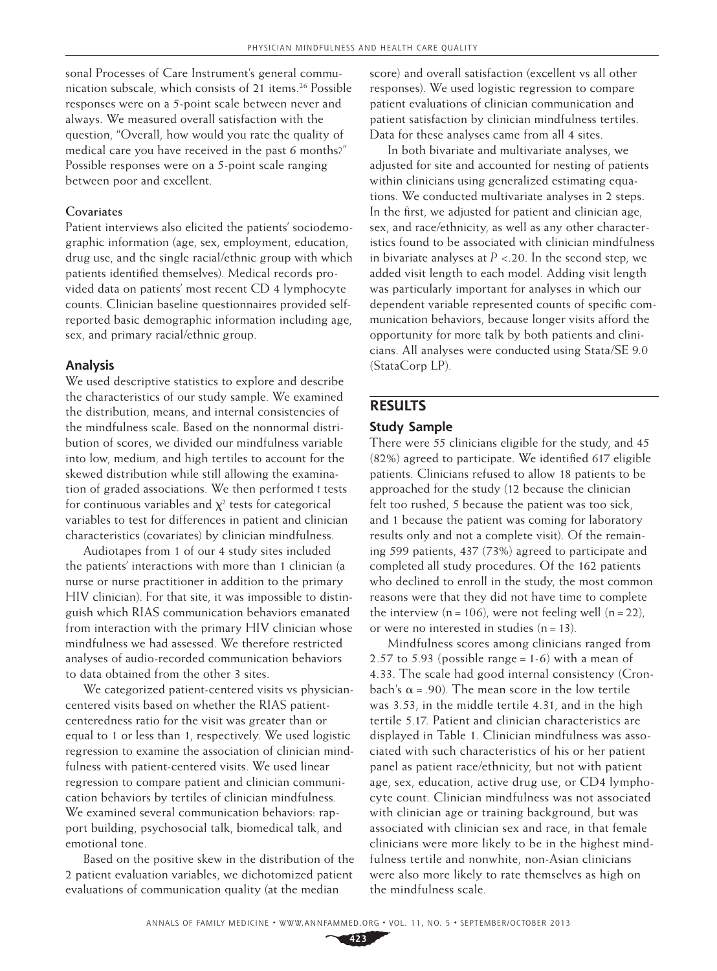sonal Processes of Care Instrument's general communication subscale, which consists of 21 items.<sup>26</sup> Possible responses were on a 5-point scale between never and always. We measured overall satisfaction with the question, "Overall, how would you rate the quality of medical care you have received in the past 6 months?" Possible responses were on a 5-point scale ranging between poor and excellent.

#### **Covariates**

Patient interviews also elicited the patients' sociodemographic information (age, sex, employment, education, drug use, and the single racial/ethnic group with which patients identified themselves). Medical records provided data on patients' most recent CD 4 lymphocyte counts. Clinician baseline questionnaires provided selfreported basic demographic information including age, sex, and primary racial/ethnic group.

#### **Analysis**

We used descriptive statistics to explore and describe the characteristics of our study sample. We examined the distribution, means, and internal consistencies of the mindfulness scale. Based on the nonnormal distribution of scores, we divided our mindfulness variable into low, medium, and high tertiles to account for the skewed distribution while still allowing the examination of graded associations. We then performed *t* tests for continuous variables and  $\chi^2$  tests for categorical variables to test for differences in patient and clinician characteristics (covariates) by clinician mindfulness.

Audiotapes from 1 of our 4 study sites included the patients' interactions with more than 1 clinician (a nurse or nurse practitioner in addition to the primary HIV clinician). For that site, it was impossible to distinguish which RIAS communication behaviors emanated from interaction with the primary HIV clinician whose mindfulness we had assessed. We therefore restricted analyses of audio-recorded communication behaviors to data obtained from the other 3 sites.

We categorized patient-centered visits vs physiciancentered visits based on whether the RIAS patientcenteredness ratio for the visit was greater than or equal to 1 or less than 1, respectively. We used logistic regression to examine the association of clinician mindfulness with patient-centered visits. We used linear regression to compare patient and clinician communication behaviors by tertiles of clinician mindfulness. We examined several communication behaviors: rapport building, psychosocial talk, biomedical talk, and emotional tone.

Based on the positive skew in the distribution of the 2 patient evaluation variables, we dichotomized patient evaluations of communication quality (at the median

score) and overall satisfaction (excellent vs all other responses). We used logistic regression to compare patient evaluations of clinician communication and patient satisfaction by clinician mindfulness tertiles. Data for these analyses came from all 4 sites.

In both bivariate and multivariate analyses, we adjusted for site and accounted for nesting of patients within clinicians using generalized estimating equations. We conducted multivariate analyses in 2 steps. In the first, we adjusted for patient and clinician age, sex, and race/ethnicity, as well as any other characteristics found to be associated with clinician mindfulness in bivariate analyses at  $P < 20$ . In the second step, we added visit length to each model. Adding visit length was particularly important for analyses in which our dependent variable represented counts of specific communication behaviors, because longer visits afford the opportunity for more talk by both patients and clinicians. All analyses were conducted using Stata/SE 9.0 (StataCorp LP).

## **RESULTS**

#### **Study Sample**

There were 55 clinicians eligible for the study, and 45 (82%) agreed to participate. We identified 617 eligible patients. Clinicians refused to allow 18 patients to be approached for the study (12 because the clinician felt too rushed, 5 because the patient was too sick, and 1 because the patient was coming for laboratory results only and not a complete visit). Of the remaining 599 patients, 437 (73%) agreed to participate and completed all study procedures. Of the 162 patients who declined to enroll in the study, the most common reasons were that they did not have time to complete the interview  $(n=106)$ , were not feeling well  $(n=22)$ , or were no interested in studies  $(n=13)$ .

Mindfulness scores among clinicians ranged from 2.57 to 5.93 (possible range = 1-6) with a mean of 4.33. The scale had good internal consistency (Cronbach's  $\alpha$  = .90). The mean score in the low tertile was 3.53, in the middle tertile 4.31, and in the high tertile 5.17. Patient and clinician characteristics are displayed in Table 1. Clinician mindfulness was associated with such characteristics of his or her patient panel as patient race/ethnicity, but not with patient age, sex, education, active drug use, or CD4 lymphocyte count. Clinician mindfulness was not associated with clinician age or training background, but was associated with clinician sex and race, in that female clinicians were more likely to be in the highest mindfulness tertile and nonwhite, non-Asian clinicians were also more likely to rate themselves as high on the mindfulness scale.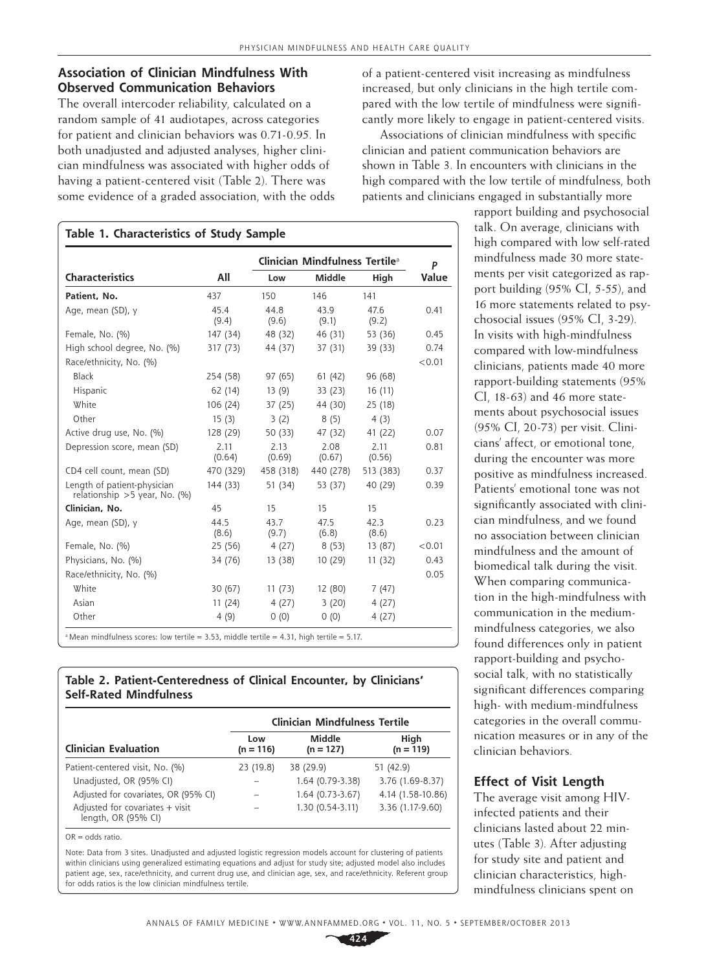# **Association of Clinician Mindfulness With Observed Communication Behaviors**

The overall intercoder reliability, calculated on a random sample of 41 audiotapes, across categories for patient and clinician behaviors was 0.71-0.95. In both unadjusted and adjusted analyses, higher clinician mindfulness was associated with higher odds of having a patient-centered visit (Table 2). There was some evidence of a graded association, with the odds

|                                                               |                |                | Clinician Mindfulness Tertile <sup>a</sup> |                | P      |
|---------------------------------------------------------------|----------------|----------------|--------------------------------------------|----------------|--------|
| <b>Characteristics</b>                                        | All            | Low            | <b>Middle</b>                              | High           | Value  |
| Patient, No.                                                  | 437            | 150            | 146                                        | 141            |        |
| Age, mean (SD), y                                             | 45.4<br>(9.4)  | 44.8<br>(9.6)  | 43.9<br>(9.1)                              | 47.6<br>(9.2)  | 0.41   |
| Female, No. (%)                                               | 147 (34)       | 48 (32)        | 46 (31)                                    | 53 (36)        | 0.45   |
| High school degree, No. (%)                                   | 317 (73)       | 44 (37)        | 37 (31)                                    | 39 (33)        | 0.74   |
| Race/ethnicity, No. (%)                                       |                |                |                                            |                | < 0.01 |
| Black                                                         | 254 (58)       | 97 (65)        | 61 (42)                                    | 96 (68)        |        |
| Hispanic                                                      | 62 (14)        | 13(9)          | 33 (23)                                    | 16(11)         |        |
| White                                                         | 106 (24)       | 37 (25)        | 44 (30)                                    | 25 (18)        |        |
| Other                                                         | 15(3)          | 3(2)           | 8(5)                                       | 4(3)           |        |
| Active drug use, No. (%)                                      | 128 (29)       | 50 (33)        | 47 (32)                                    | 41 (22)        | 0.07   |
| Depression score, mean (SD)                                   | 2.11<br>(0.64) | 2.13<br>(0.69) | 2.08<br>(0.67)                             | 2.11<br>(0.56) | 0.81   |
| CD4 cell count, mean (SD)                                     | 470 (329)      | 458 (318)      | 440 (278)                                  | 513 (383)      | 0.37   |
| Length of patient-physician<br>relationship > 5 year, No. (%) | 144 (33)       | 51 (34)        | 53 (37)                                    | 40 (29)        | 0.39   |
| Clinician, No.                                                | 45             | 15             | 15                                         | 15             |        |
| Age, mean (SD), y                                             | 44.5<br>(8.6)  | 43.7<br>(9.7)  | 47.5<br>(6.8)                              | 42.3<br>(8.6)  | 0.23   |
| Female, No. (%)                                               | 25 (56)        | 4(27)          | 8(53)                                      | 13 (87)        | < 0.01 |
| Physicians, No. (%)                                           | 34 (76)        | 13 (38)        | 10 (29)                                    | 11(32)         | 0.43   |
| Race/ethnicity, No. (%)                                       |                |                |                                            |                | 0.05   |
| <b>White</b>                                                  | 30 (67)        | 11(73)         | 12 (80)                                    | 7(47)          |        |
| Asian                                                         | 11(24)         | 4(27)          | 3(20)                                      | 4(27)          |        |
| Other                                                         | 4(9)           | 0(0)           | 0(0)                                       | 4(27)          |        |

**Table 2. Patient-Centeredness of Clinical Encounter, by Clinicians' Self-Rated Mindfulness**

|                                                          | <b>Clinician Mindfulness Tertile</b> |                       |                     |  |  |
|----------------------------------------------------------|--------------------------------------|-----------------------|---------------------|--|--|
| <b>Clinician Evaluation</b>                              | Low<br>$(n = 116)$                   | Middle<br>$(n = 127)$ | High<br>$(n = 119)$ |  |  |
| Patient-centered visit, No. (%)                          | 23 (19.8)                            | 38 (29.9)             | 51 (42.9)           |  |  |
| Unadjusted, OR (95% CI)                                  |                                      | 1.64 (0.79-3.38)      | 3.76 (1.69-8.37)    |  |  |
| Adjusted for covariates, OR (95% CI)                     |                                      | 1.64 (0.73-3.67)      | 4.14 (1.58-10.86)   |  |  |
| Adjusted for covariates $+$ visit<br>length, OR (95% CI) |                                      | 1.30 (0.54-3.11)      | 3.36 (1.17-9.60)    |  |  |

 $OR = \text{ndds ratio}$ .

Note: Data from 3 sites. Unadjusted and adjusted logistic regression models account for clustering of patients within clinicians using generalized estimating equations and adjust for study site; adjusted model also includes patient age, sex, race/ethnicity, and current drug use, and clinician age, sex, and race/ethnicity. Referent group for odds ratios is the low clinician mindfulness tertile.

of a patient-centered visit increasing as mindfulness increased, but only clinicians in the high tertile compared with the low tertile of mindfulness were significantly more likely to engage in patient-centered visits.

Associations of clinician mindfulness with specific clinician and patient communication behaviors are shown in Table 3. In encounters with clinicians in the high compared with the low tertile of mindfulness, both patients and clinicians engaged in substantially more

rapport building and psychosocial talk. On average, clinicians with high compared with low self-rated mindfulness made 30 more statements per visit categorized as rapport building (95% CI, 5-55), and 16 more statements related to psychosocial issues (95% CI, 3-29). In visits with high-mindfulness compared with low-mindfulness clinicians, patients made 40 more rapport-building statements (95% CI, 18-63) and 46 more statements about psychosocial issues (95% CI, 20-73) per visit. Clinicians' affect, or emotional tone, during the encounter was more positive as mindfulness increased. Patients' emotional tone was not significantly associated with clinician mindfulness, and we found no association between clinician mindfulness and the amount of biomedical talk during the visit. When comparing communication in the high-mindfulness with communication in the mediummindfulness categories, we also found differences only in patient rapport-building and psychosocial talk, with no statistically significant differences comparing high- with medium-mindfulness categories in the overall communication measures or in any of the clinician behaviors.

#### **Effect of Visit Length**

The average visit among HIVinfected patients and their clinicians lasted about 22 minutes (Table 3). After adjusting for study site and patient and clinician characteristics, highmindfulness clinicians spent on

**424**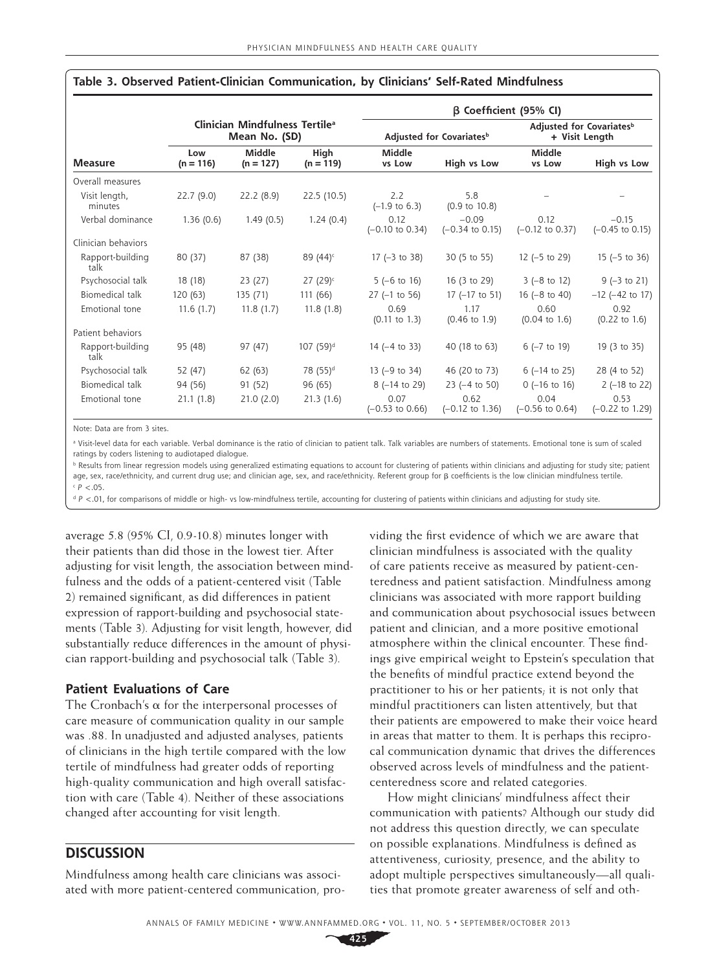|                          |                                                             |                       |                       | $\beta$ Coefficient (95% CI)         |                                       |                                                        |                                       |  |
|--------------------------|-------------------------------------------------------------|-----------------------|-----------------------|--------------------------------------|---------------------------------------|--------------------------------------------------------|---------------------------------------|--|
| <b>Measure</b>           | Clinician Mindfulness Tertile <sup>a</sup><br>Mean No. (SD) |                       |                       | Adjusted for Covariates <sup>b</sup> |                                       | Adjusted for Covariates <sup>b</sup><br>+ Visit Length |                                       |  |
|                          | Low<br>$(n = 116)$                                          | Middle<br>$(n = 127)$ | High<br>$(n = 119)$   | <b>Middle</b><br>vs Low              | High vs Low                           | <b>Middle</b><br>vs Low                                | High vs Low                           |  |
| Overall measures         |                                                             |                       |                       |                                      |                                       |                                                        |                                       |  |
| Visit length,<br>minutes | 22.7(9.0)                                                   | 22.2(8.9)             | 22.5 (10.5)           | 2.2<br>$(-1.9 \text{ to } 6.3)$      | 5.8<br>$(0.9 \text{ to } 10.8)$       |                                                        |                                       |  |
| Verbal dominance         | 1.36(0.6)                                                   | 1.49(0.5)             | 1.24(0.4)             | 0.12<br>$(-0.10 \text{ to } 0.34)$   | $-0.09$<br>$(-0.34 \text{ to } 0.15)$ | 0.12<br>$(-0.12 \text{ to } 0.37)$                     | $-0.15$<br>$(-0.45 \text{ to } 0.15)$ |  |
| Clinician behaviors      |                                                             |                       |                       |                                      |                                       |                                                        |                                       |  |
| Rapport-building<br>talk | 80 (37)                                                     | 87 (38)               | 89 $(44)^c$           | 17 $(-3 \text{ to } 38)$             | 30 (5 to 55)                          | $12$ (-5 to 29)                                        | $15$ (-5 to 36)                       |  |
| Psychosocial talk        | 18 (18)                                                     | 23 (27)               | 27 (29) $\epsilon$    | $5(-6 \text{ to } 16)$               | 16 (3 to 29)                          | $3(-8 \text{ to } 12)$                                 | $9(-3 to 21)$                         |  |
| Biomedical talk          | 120 (63)                                                    | 135 (71)              | 111 (66)              | $27$ (-1 to 56)                      | $17$ (-17 to 51)                      | 16 $(-8 \text{ to } 40)$                               | $-12$ ( $-42$ to 17)                  |  |
| Emotional tone           | 11.6(1.7)                                                   | 11.8(1.7)             | 11.8(1.8)             | 0.69<br>$(0.11$ to $1.3)$            | 1.17<br>$(0.46 \text{ to } 1.9)$      | 0.60<br>$(0.04 \text{ to } 1.6)$                       | 0.92<br>$(0.22 \text{ to } 1.6)$      |  |
| Patient behaviors        |                                                             |                       |                       |                                      |                                       |                                                        |                                       |  |
| Rapport-building<br>talk | 95 (48)                                                     | 97 (47)               | 107 (59) <sup>d</sup> | $14$ ( $-4$ to 33)                   | 40 (18 to 63)                         | $6$ ( $-7$ to 19)                                      | 19 (3 to 35)                          |  |
| Psychosocial talk        | 52 (47)                                                     | 62 (63)               | 78 (55) <sup>d</sup>  | $13$ (-9 to 34)                      | 46 (20 to 73)                         | $6$ (-14 to 25)                                        | 28 (4 to 52)                          |  |
| Biomedical talk          | 94 (56)                                                     | 91 (52)               | 96 (65)               | 8 (-14 to 29)                        | $23$ (-4 to 50)                       | $0$ (-16 to 16)                                        | $2$ (-18 to 22)                       |  |
| Emotional tone           | 21.1(1.8)                                                   | 21.0(2.0)             | 21.3(1.6)             | 0.07<br>$(-0.53 \text{ to } 0.66)$   | 0.62<br>$(-0.12 \text{ to } 1.36)$    | 0.04<br>$(-0.56 \text{ to } 0.64)$                     | 0.53<br>$(-0.22$ to 1.29)             |  |

#### **Table 3. Observed Patient-Clinician Communication, by Clinicians' Self-Rated Mindfulness**

Note: Data are from 3 sites.

a Visit-level data for each variable. Verbal dominance is the ratio of clinician to patient talk. Talk variables are numbers of statements. Emotional tone is sum of scaled ratings by coders listening to audiotaped dialogue.

**b** Results from linear regression models using generalized estimating equations to account for clustering of patients within clinicians and adjusting for study site; patient age, sex, race/ethnicity, and current drug use; and clinician age, sex, and race/ethnicity. Referent group for β coefficients is the low clinician mindfulness tertile.  $P < .05$ .

d *P* <.01, for comparisons of middle or high- vs low-mindfulness tertile, accounting for clustering of patients within clinicians and adjusting for study site.

average 5.8 (95% CI, 0.9-10.8) minutes longer with their patients than did those in the lowest tier. After adjusting for visit length, the association between mindfulness and the odds of a patient-centered visit (Table 2) remained significant, as did differences in patient expression of rapport-building and psychosocial statements (Table 3). Adjusting for visit length, however, did substantially reduce differences in the amount of physician rapport-building and psychosocial talk (Table 3).

#### **Patient Evaluations of Care**

The Cronbach's α for the interpersonal processes of care measure of communication quality in our sample was .88. In unadjusted and adjusted analyses, patients of clinicians in the high tertile compared with the low tertile of mindfulness had greater odds of reporting high-quality communication and high overall satisfaction with care (Table 4). Neither of these associations changed after accounting for visit length.

## **DISCUSSION**

Mindfulness among health care clinicians was associated with more patient-centered communication, pro-

viding the first evidence of which we are aware that clinician mindfulness is associated with the quality of care patients receive as measured by patient-centeredness and patient satisfaction. Mindfulness among clinicians was associated with more rapport building and communication about psychosocial issues between patient and clinician, and a more positive emotional atmosphere within the clinical encounter. These findings give empirical weight to Epstein's speculation that the benefits of mindful practice extend beyond the practitioner to his or her patients; it is not only that mindful practitioners can listen attentively, but that their patients are empowered to make their voice heard in areas that matter to them. It is perhaps this reciprocal communication dynamic that drives the differences observed across levels of mindfulness and the patientcenteredness score and related categories.

How might clinicians' mindfulness affect their communication with patients? Although our study did not address this question directly, we can speculate on possible explanations. Mindfulness is defined as attentiveness, curiosity, presence, and the ability to adopt multiple perspectives simultaneously—all qualities that promote greater awareness of self and oth-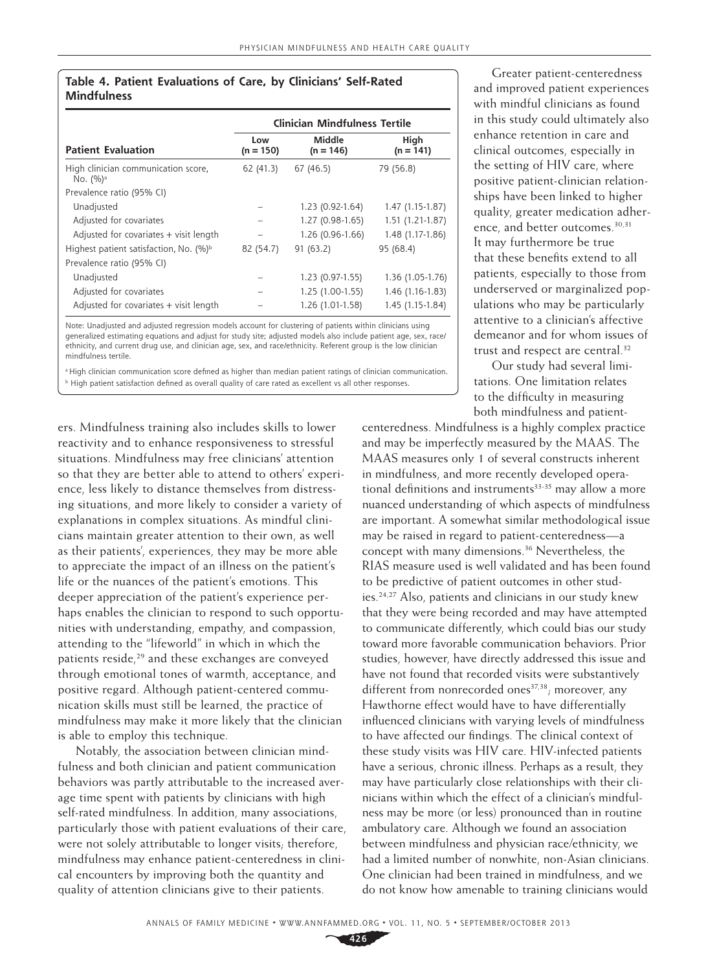#### **Table 4. Patient Evaluations of Care, by Clinicians' Self-Rated Mindfulness**

|                                                    | <b>Clinician Mindfulness Tertile</b> |                       |                     |  |  |
|----------------------------------------------------|--------------------------------------|-----------------------|---------------------|--|--|
| <b>Patient Evaluation</b>                          | Low<br>$(n = 150)$                   | Middle<br>$(n = 146)$ | High<br>$(n = 141)$ |  |  |
| High clinician communication score,<br>No. $(%)^a$ | 62 (41.3)                            | 67 (46.5)             | 79 (56.8)           |  |  |
| Prevalence ratio (95% CI)                          |                                      |                       |                     |  |  |
| Unadjusted                                         |                                      | 1.23 (0.92-1.64)      | $1.47(1.15-1.87)$   |  |  |
| Adjusted for covariates                            |                                      | 1.27 (0.98-1.65)      | $1.51(1.21-1.87)$   |  |  |
| Adjusted for covariates + visit length             |                                      | 1.26 (0.96-1.66)      | 1.48 (1.17-1.86)    |  |  |
| Highest patient satisfaction, No. (%) <sup>b</sup> | 82 (54.7)                            | 91(63.2)              | 95 (68.4)           |  |  |
| Prevalence ratio (95% CI)                          |                                      |                       |                     |  |  |
| Unadjusted                                         |                                      | 1.23 (0.97-1.55)      | 1.36 (1.05-1.76)    |  |  |
| Adjusted for covariates                            |                                      | $1.25(1.00-1.55)$     | 1.46 (1.16-1.83)    |  |  |
| Adjusted for covariates + visit length             |                                      | 1.26 (1.01-1.58)      | 1.45 (1.15-1.84)    |  |  |

Note: Unadjusted and adjusted regression models account for clustering of patients within clinicians using generalized estimating equations and adjust for study site; adjusted models also include patient age, sex, race/ ethnicity, and current drug use, and clinician age, sex, and race/ethnicity. Referent group is the low clinician mindfulness tertile.

<sup>a</sup> High clinician communication score defined as higher than median patient ratings of clinician communication. b High patient satisfaction defined as overall quality of care rated as excellent vs all other responses.

ers. Mindfulness training also includes skills to lower reactivity and to enhance responsiveness to stressful situations. Mindfulness may free clinicians' attention so that they are better able to attend to others' experience, less likely to distance themselves from distressing situations, and more likely to consider a variety of explanations in complex situations. As mindful clinicians maintain greater attention to their own, as well as their patients', experiences, they may be more able to appreciate the impact of an illness on the patient's life or the nuances of the patient's emotions. This deeper appreciation of the patient's experience perhaps enables the clinician to respond to such opportunities with understanding, empathy, and compassion, attending to the "lifeworld" in which in which the patients reside,<sup>29</sup> and these exchanges are conveyed through emotional tones of warmth, acceptance, and positive regard. Although patient-centered communication skills must still be learned, the practice of mindfulness may make it more likely that the clinician is able to employ this technique.

Notably, the association between clinician mindfulness and both clinician and patient communication behaviors was partly attributable to the increased average time spent with patients by clinicians with high self-rated mindfulness. In addition, many associations, particularly those with patient evaluations of their care, were not solely attributable to longer visits; therefore, mindfulness may enhance patient-centeredness in clinical encounters by improving both the quantity and quality of attention clinicians give to their patients.

Greater patient-centeredness and improved patient experiences with mindful clinicians as found in this study could ultimately also enhance retention in care and clinical outcomes, especially in the setting of HIV care, where positive patient-clinician relationships have been linked to higher quality, greater medication adherence, and better outcomes.<sup>30,31</sup> It may furthermore be true that these benefits extend to all patients, especially to those from underserved or marginalized populations who may be particularly attentive to a clinician's affective demeanor and for whom issues of trust and respect are central.32

Our study had several limitations. One limitation relates to the difficulty in measuring both mindfulness and patient-

centeredness. Mindfulness is a highly complex practice and may be imperfectly measured by the MAAS. The MAAS measures only 1 of several constructs inherent in mindfulness, and more recently developed operational definitions and instruments $33-35$  may allow a more nuanced understanding of which aspects of mindfulness are important. A somewhat similar methodological issue may be raised in regard to patient-centeredness—a concept with many dimensions.36 Nevertheless, the RIAS measure used is well validated and has been found to be predictive of patient outcomes in other studies.24,27 Also, patients and clinicians in our study knew that they were being recorded and may have attempted to communicate differently, which could bias our study toward more favorable communication behaviors. Prior studies, however, have directly addressed this issue and have not found that recorded visits were substantively different from nonrecorded ones $37,38$ ; moreover, any Hawthorne effect would have to have differentially influenced clinicians with varying levels of mindfulness to have affected our findings. The clinical context of these study visits was HIV care. HIV-infected patients have a serious, chronic illness. Perhaps as a result, they may have particularly close relationships with their clinicians within which the effect of a clinician's mindfulness may be more (or less) pronounced than in routine ambulatory care. Although we found an association between mindfulness and physician race/ethnicity, we had a limited number of nonwhite, non-Asian clinicians. One clinician had been trained in mindfulness, and we do not know how amenable to training clinicians would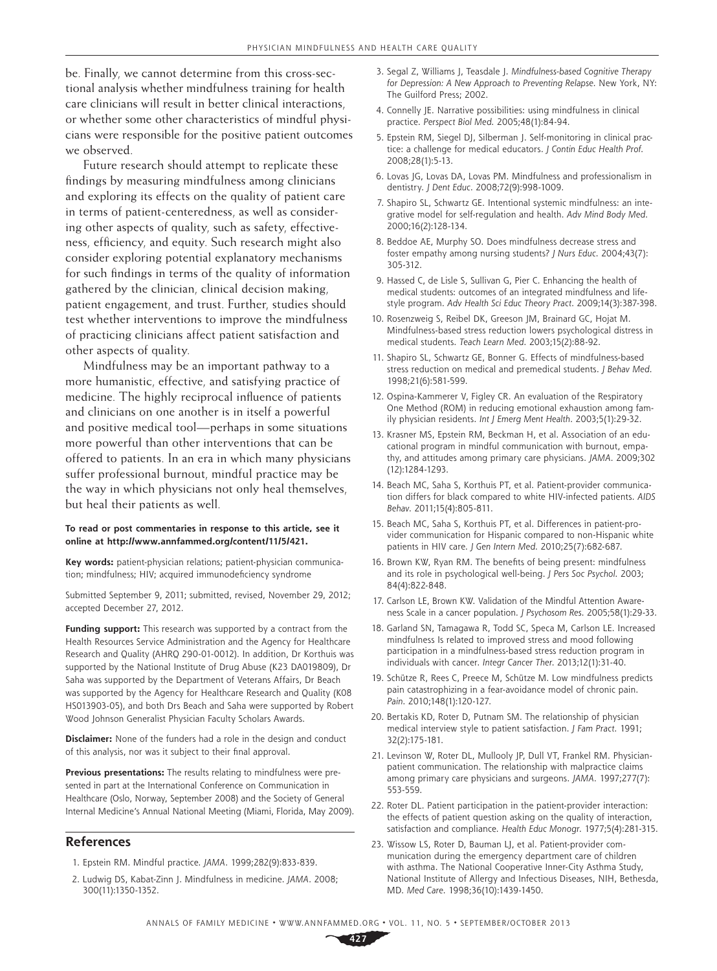be. Finally, we cannot determine from this cross-sectional analysis whether mindfulness training for health care clinicians will result in better clinical interactions, or whether some other characteristics of mindful physicians were responsible for the positive patient outcomes we observed.

Future research should attempt to replicate these findings by measuring mindfulness among clinicians and exploring its effects on the quality of patient care in terms of patient-centeredness, as well as considering other aspects of quality, such as safety, effectiveness, efficiency, and equity. Such research might also consider exploring potential explanatory mechanisms for such findings in terms of the quality of information gathered by the clinician, clinical decision making, patient engagement, and trust. Further, studies should test whether interventions to improve the mindfulness of practicing clinicians affect patient satisfaction and other aspects of quality.

Mindfulness may be an important pathway to a more humanistic, effective, and satisfying practice of medicine. The highly reciprocal influence of patients and clinicians on one another is in itself a powerful and positive medical tool—perhaps in some situations more powerful than other interventions that can be offered to patients. In an era in which many physicians suffer professional burnout, mindful practice may be the way in which physicians not only heal themselves, but heal their patients as well.

#### **To read or post commentaries in response to this article, see it online at http://www.annfammed.org/content/11/5/421.**

**Key words:** patient-physician relations; patient-physician communication; mindfulness; HIV; acquired immunodeficiency syndrome

Submitted September 9, 2011; submitted, revised, November 29, 2012; accepted December 27, 2012.

**Funding support:** This research was supported by a contract from the Health Resources Service Administration and the Agency for Healthcare Research and Quality (AHRQ 290-01-0012). In addition, Dr Korthuis was supported by the National Institute of Drug Abuse (K23 DA019809), Dr Saha was supported by the Department of Veterans Affairs, Dr Beach was supported by the Agency for Healthcare Research and Quality (K08 HS013903-05), and both Drs Beach and Saha were supported by Robert Wood Johnson Generalist Physician Faculty Scholars Awards.

**Disclaimer:** None of the funders had a role in the design and conduct of this analysis, nor was it subject to their final approval.

**Previous presentations:** The results relating to mindfulness were presented in part at the International Conference on Communication in Healthcare (Oslo, Norway, September 2008) and the Society of General Internal Medicine's Annual National Meeting (Miami, Florida, May 2009).

#### **References**

- 1. Epstein RM. Mindful practice. *JAMA*. 1999;282(9):833-839.
- 2. Ludwig DS, Kabat-Zinn J. Mindfulness in medicine. *JAMA*. 2008; 300(11):1350-1352.
- 3. Segal Z, Williams J, Teasdale J. *Mindfulness-based Cognitive Therapy for Depression: A New Approach to Preventing Relapse*. New York, NY: The Guilford Press; 2002.
- 4. Connelly JE. Narrative possibilities: using mindfulness in clinical practice. *Perspect Biol Med*. 2005;48(1):84-94.
- 5. Epstein RM, Siegel DJ, Silberman J. Self-monitoring in clinical practice: a challenge for medical educators. *J Contin Educ Health Prof*. 2008;28(1):5-13.
- 6. Lovas JG, Lovas DA, Lovas PM. Mindfulness and professionalism in dentistry. *J Dent Educ*. 2008;72(9):998-1009.
- 7. Shapiro SL, Schwartz GE. Intentional systemic mindfulness: an integrative model for self-regulation and health. *Adv Mind Body Med*. 2000;16(2):128-134.
- 8. Beddoe AE, Murphy SO. Does mindfulness decrease stress and foster empathy among nursing students? *J Nurs Educ*. 2004;43(7): 305-312.
- 9. Hassed C, de Lisle S, Sullivan G, Pier C. Enhancing the health of medical students: outcomes of an integrated mindfulness and lifestyle program. *Adv Health Sci Educ Theory Pract*. 2009;14(3):387-398.
- 10. Rosenzweig S, Reibel DK, Greeson JM, Brainard GC, Hojat M. Mindfulness-based stress reduction lowers psychological distress in medical students. *Teach Learn Med*. 2003;15(2):88-92.
- 11. Shapiro SL, Schwartz GE, Bonner G. Effects of mindfulness-based stress reduction on medical and premedical students. *J Behav Med*. 1998;21(6):581-599.
- 12. Ospina-Kammerer V, Figley CR. An evaluation of the Respiratory One Method (ROM) in reducing emotional exhaustion among family physician residents. *Int J Emerg Ment Health*. 2003;5(1):29-32.
- 13. Krasner MS, Epstein RM, Beckman H, et al. Association of an educational program in mindful communication with burnout, empathy, and attitudes among primary care physicians. *JAMA*. 2009;302 (12):1284-1293.
- 14. Beach MC, Saha S, Korthuis PT, et al. Patient-provider communication differs for black compared to white HIV-infected patients. *AIDS Behav*. 2011;15(4):805-811.
- 15. Beach MC, Saha S, Korthuis PT, et al. Differences in patient-provider communication for Hispanic compared to non-Hispanic white patients in HIV care. *J Gen Intern Med*. 2010;25(7):682-687.
- 16. Brown KW, Ryan RM. The benefits of being present: mindfulness and its role in psychological well-being. *J Pers Soc Psychol*. 2003; 84(4):822-848.
- 17. Carlson LE, Brown KW. Validation of the Mindful Attention Awareness Scale in a cancer population. *J Psychosom Res*. 2005;58(1):29-33.
- 18. Garland SN, Tamagawa R, Todd SC, Speca M, Carlson LE. Increased mindfulness Is related to improved stress and mood following participation in a mindfulness-based stress reduction program in individuals with cancer. *Integr Cancer Ther*. 2013;12(1):31-40.
- 19. Schütze R, Rees C, Preece M, Schütze M. Low mindfulness predicts pain catastrophizing in a fear-avoidance model of chronic pain. *Pain*. 2010;148(1):120-127.
- 20. Bertakis KD, Roter D, Putnam SM. The relationship of physician medical interview style to patient satisfaction. *J Fam Pract*. 1991; 32(2):175-181.
- 21. Levinson W, Roter DL, Mullooly JP, Dull VT, Frankel RM. Physicianpatient communication. The relationship with malpractice claims among primary care physicians and surgeons. *JAMA*. 1997;277(7): 553-559.
- 22. Roter DL. Patient participation in the patient-provider interaction: the effects of patient question asking on the quality of interaction, satisfaction and compliance. *Health Educ Monogr*. 1977;5(4):281-315.
- 23. Wissow LS, Roter D, Bauman LJ, et al. Patient-provider communication during the emergency department care of children with asthma. The National Cooperative Inner-City Asthma Study, National Institute of Allergy and Infectious Diseases, NIH, Bethesda, MD. *Med Care*. 1998;36(10):1439-1450.